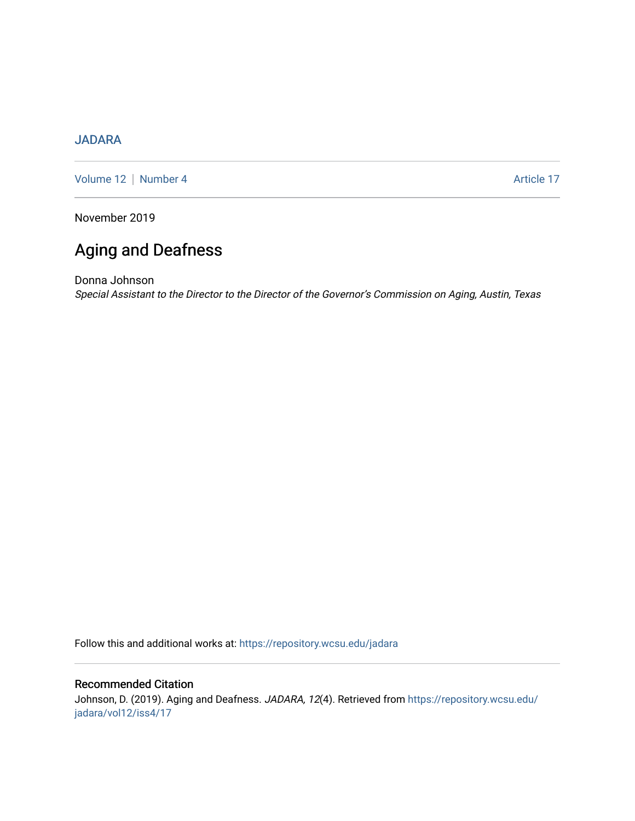## [JADARA](https://repository.wcsu.edu/jadara)

[Volume 12](https://repository.wcsu.edu/jadara/vol12) | [Number 4](https://repository.wcsu.edu/jadara/vol12/iss4) Article 17

November 2019

# Aging and Deafness

Donna Johnson Special Assistant to the Director to the Director of the Governor's Commission on Aging, Austin, Texas

Follow this and additional works at: [https://repository.wcsu.edu/jadara](https://repository.wcsu.edu/jadara?utm_source=repository.wcsu.edu%2Fjadara%2Fvol12%2Fiss4%2F17&utm_medium=PDF&utm_campaign=PDFCoverPages)

## Recommended Citation

Johnson, D. (2019). Aging and Deafness. JADARA, 12(4). Retrieved from [https://repository.wcsu.edu/](https://repository.wcsu.edu/jadara/vol12/iss4/17?utm_source=repository.wcsu.edu%2Fjadara%2Fvol12%2Fiss4%2F17&utm_medium=PDF&utm_campaign=PDFCoverPages) [jadara/vol12/iss4/17](https://repository.wcsu.edu/jadara/vol12/iss4/17?utm_source=repository.wcsu.edu%2Fjadara%2Fvol12%2Fiss4%2F17&utm_medium=PDF&utm_campaign=PDFCoverPages)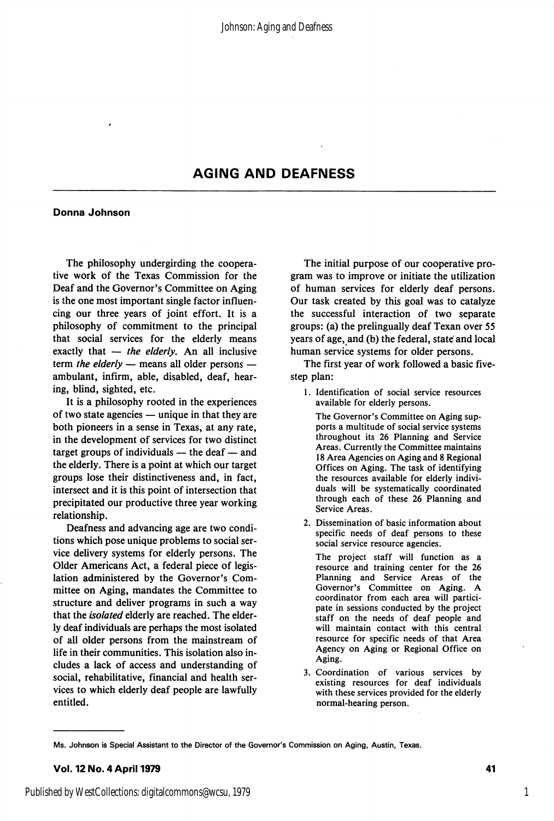### AGING AND DEAFNESS

#### Donna Johnson

The philosophy undergirding the coopera tive work of the Texas Commission for the Deaf and the Governor's Committee on Aging is the one most important single factor influen cing our three years of joint effort. It is a philosophy of commitment to the principal that social services for the elderly means exactly that  $-$  the elderly. An all inclusive term the elderly  $-$  means all older persons  $$ ambulant, infirm, able, disabled, deaf, hear ing, blind, sighted, etc.

It is a philosophy rooted in the experiences of two state agencies — unique in that they are both pioneers in a sense in Texas, at any rate, in the development of services for two distinct target groups of individuals — the deaf — and the elderly. There is a point at which our target groups lose their distinctiveness and, in fact, intersect and it is this point of intersection that precipitated our productive three year working relationship.

Deafness and advancing age are two condi tions which pose unique problems to social ser vice delivery systems for elderly persons. The Older Americans Act, a federal piece of legis lation administered by the Governor's Com mittee on Aging, mandates the Committee to structure and deliver programs in such a way that the *isolated* elderly are reached. The elderly deaf individuals are perhaps the most isolated of all older persons from the mainstream of life in their communities. This isolation also in cludes a lack of access and understanding of social, rehabilitative, financial and health ser vices to which elderly deaf people are lawfully entitled.

The initial purpose of our cooperative pro gram was to improve or initiate the utilization of human services for elderly deaf persons. Our task created by this goal was to catalyze the successful interaction of two separate groups: (a) the prelingually deaf Texan over 55 years of age, and (b) the federal, state and local human service systems for older persons.

The first year of work followed a basic fivestep plan:

1. Identification of social service resources available for elderly persons.

The Governor's Committee on Aging sup ports a multitude of social service systems throughout its 26 Planning and Service Areas. Currently the Committee maintains 18 Area Agencies on Aging and 8 Regional Offices on Aging. The task of identifying the resources available for elderly indivi duals will be systematically coordinated through each of these 26 Planning and Service Areas.

2. Dissemination of basic information about specific needs of deaf persons to these social service resource agencies.

The project staff will function as a resource and training center for the 26 Planning and Service Areas of the Governor's Committee on Aging. A coordinator from each area will partici pate in sessions conducted by the project staff on the needs of deaf people and will maintain contact with this central resource for specific needs of that Area Agency on Aging or Regional Office on Aging.

3. Coordination of various services by existing resources for deaf individuals with these services provided for the elderly normal-hearing person.

Ms. Johnson is Special Assistant to the Director of the Governor's Commission on Aging, Austin, Texas.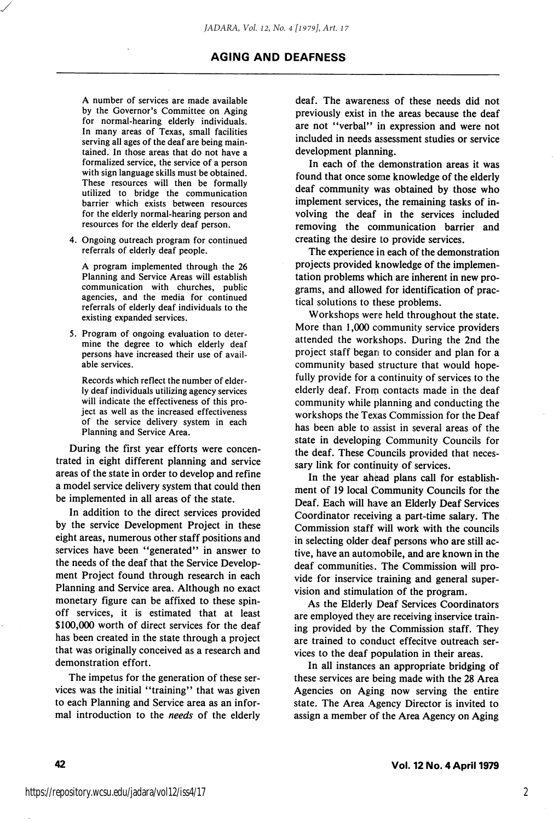#### AGING AND DEAFNESS

A number of services are made available by the Governor's Committee on Aging for normal-hearing elderly individuals. In many areas of Texas, small facilities serving all ages of the deaf are being main tained. In those areas that do not have a formalized service, the service of a person with sign language skills must be obtained. These resources will then be formally utilized to bridge the communication barrier which exists between resources for the elderly normal-hearing person and resources for the elderly deaf person.

4. Ongoing outreach program for continued referrals of elderly deaf people.

A program implemented through the 26 Planning and Service Areas will establish communication with churches, public agencies, and the media for continued referrals of elderly deaf individuals to the existing expanded services.

5. Program of ongoing evaluation to deter mine the degree to which elderly deaf persons have increased their use of avail able services.

Records which reflect the number of elder ly deaf individuals utilizing agency services will indicate the effectiveness of this pro ject as well as the increased effectiveness of the service delivery system in each Planning and Service Area.

During the first year efforts were concen trated in eight different planning and service areas of the state in order to develop and refine a model service delivery system that could then be implemented in all areas of the state.

In addition to the direct services provided by the service Development Project in these eight areas, numerous other staff positions and services have been "generated" in answer to the needs of the deaf that the Service Develop ment Project found through research in each Planning and Service area. Although no exact monetary figure can be affixed to these spinoff services, it is estimated that at least \$100,000 worth of direct services for the deaf has been created in the state through a project that was originally conceived as a research and demonstration effort.

The impetus for the generation of these ser vices was the initial "training" that was given to each Planning and Service area as an infor mal introduction to the needs of the elderly deaf. The awareness of these needs did not previously exist in the areas because the deaf are not "verbal" in expression and were not included in needs assessment studies or service development planning.

In each of the demonstration areas it was found that once some knowledge of the elderly deaf community was obtained by those who implement services, the remaining tasks of in volving the deaf in the services included removing the communication barrier and creating the desire to provide services.

The experience in each of the demonstration projects provided knowledge of the implemen tation problems which are inherent in new pro grams, and allowed for identification of prac tical solutions to these problems.

Workshops were held throughout the state. More than 1,000 community service providers attended the workshops. During the 2nd the project staff began to consider and plan for a community based structure that would hope fully provide for a continuity of services to the elderly deaf. From contacts made in the deaf community while planning and conducting the workshops the Texas Commission for the Deaf has been able to assist in several areas of the state in developing Community Councils for the deaf. These Councils provided that neces sary link for continuity of services.

In the year ahead plans call for establish ment of 19 local Community Councils for the Deaf. Each will have an Elderly Deaf Services Coordinator receiving a part-time salary. The Commission staff will work with the councils in selecting older deaf persons who are still ac tive, have an automobile, and are known in the deaf communities. The Commission will pro vide for inservice training and general super vision and stimulation of the program.

As the Elderly Deaf Services Coordinators are employed they are receiving inservice training provided by the Commission staff. They are trained to conduct effecitve outreach ser vices to the deaf population in their areas.

In all instances an appropriate bridging of these services are being made with the 28 Area Agencies on Aging now serving the entire state. The Area Agency Director is invited to assign a member of the Area Agency on Aging